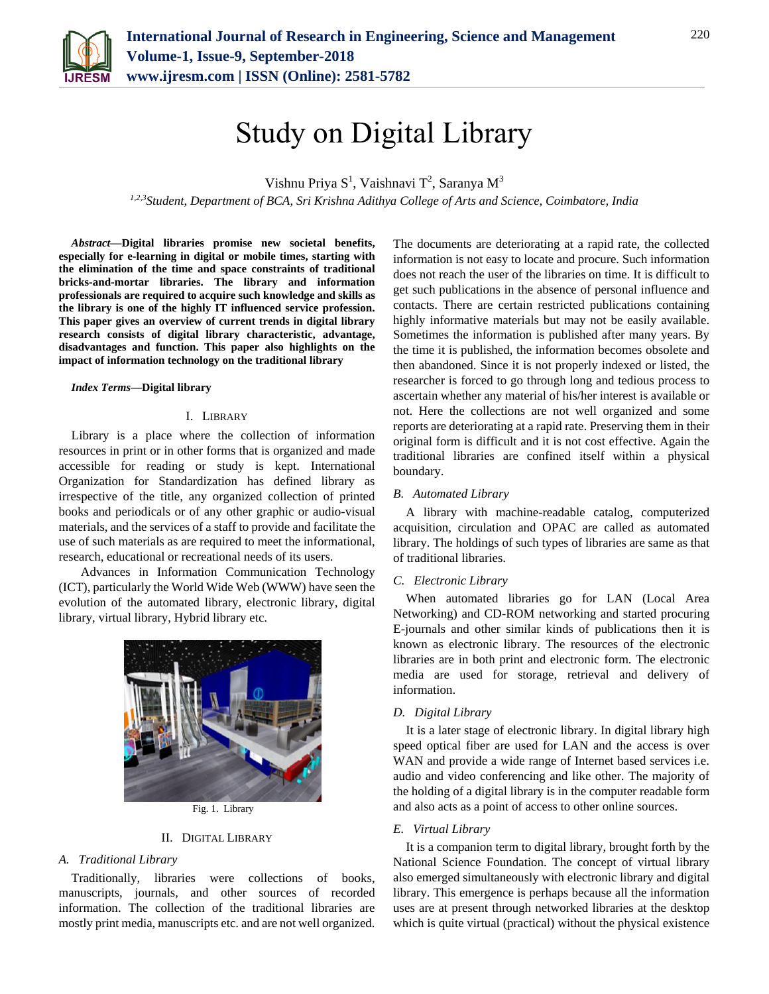

# Study on Digital Library

Vishnu Priya  $S^1$ , Vaishnavi T<sup>2</sup>, Saranya M<sup>3</sup>

*1,2,3Student, Department of BCA, Sri Krishna Adithya College of Arts and Science, Coimbatore, India*

*Abstract***—Digital libraries promise new societal benefits, especially for e-learning in digital or mobile times, starting with the elimination of the time and space constraints of traditional bricks-and-mortar libraries. The library and information professionals are required to acquire such knowledge and skills as the library is one of the highly IT influenced service profession. This paper gives an overview of current trends in digital library research consists of digital library characteristic, advantage, disadvantages and function. This paper also highlights on the impact of information technology on the traditional library**

#### *Index Terms***—Digital library**

#### I. LIBRARY

Library is a place where the collection of information resources in print or in other forms that is organized and made accessible for reading or study is kept. International Organization for Standardization has defined library as irrespective of the title, any organized collection of printed books and periodicals or of any other graphic or audio-visual materials, and the services of a staff to provide and facilitate the use of such materials as are required to meet the informational, research, educational or recreational needs of its users.

 Advances in Information Communication Technology (ICT), particularly the World Wide Web (WWW) have seen the evolution of the automated library, electronic library, digital library, virtual library, Hybrid library etc.



Fig. 1. Library

#### II. DIGITAL LIBRARY

### *A. Traditional Library*

Traditionally, libraries were collections of books, manuscripts, journals, and other sources of recorded information. The collection of the traditional libraries are mostly print media, manuscripts etc. and are not well organized. The documents are deteriorating at a rapid rate, the collected information is not easy to locate and procure. Such information does not reach the user of the libraries on time. It is difficult to get such publications in the absence of personal influence and contacts. There are certain restricted publications containing highly informative materials but may not be easily available. Sometimes the information is published after many years. By the time it is published, the information becomes obsolete and then abandoned. Since it is not properly indexed or listed, the researcher is forced to go through long and tedious process to ascertain whether any material of his/her interest is available or not. Here the collections are not well organized and some reports are deteriorating at a rapid rate. Preserving them in their original form is difficult and it is not cost effective. Again the traditional libraries are confined itself within a physical boundary.

#### *B. Automated Library*

A library with machine-readable catalog, computerized acquisition, circulation and OPAC are called as automated library. The holdings of such types of libraries are same as that of traditional libraries.

## *C. Electronic Library*

When automated libraries go for LAN (Local Area Networking) and CD-ROM networking and started procuring E-journals and other similar kinds of publications then it is known as electronic library. The resources of the electronic libraries are in both print and electronic form. The electronic media are used for storage, retrieval and delivery of information.

## *D. Digital Library*

It is a later stage of electronic library. In digital library high speed optical fiber are used for LAN and the access is over WAN and provide a wide range of Internet based services i.e. audio and video conferencing and like other. The majority of the holding of a digital library is in the computer readable form and also acts as a point of access to other online sources.

## *E. Virtual Library*

It is a companion term to digital library, brought forth by the National Science Foundation. The concept of virtual library also emerged simultaneously with electronic library and digital library. This emergence is perhaps because all the information uses are at present through networked libraries at the desktop which is quite virtual (practical) without the physical existence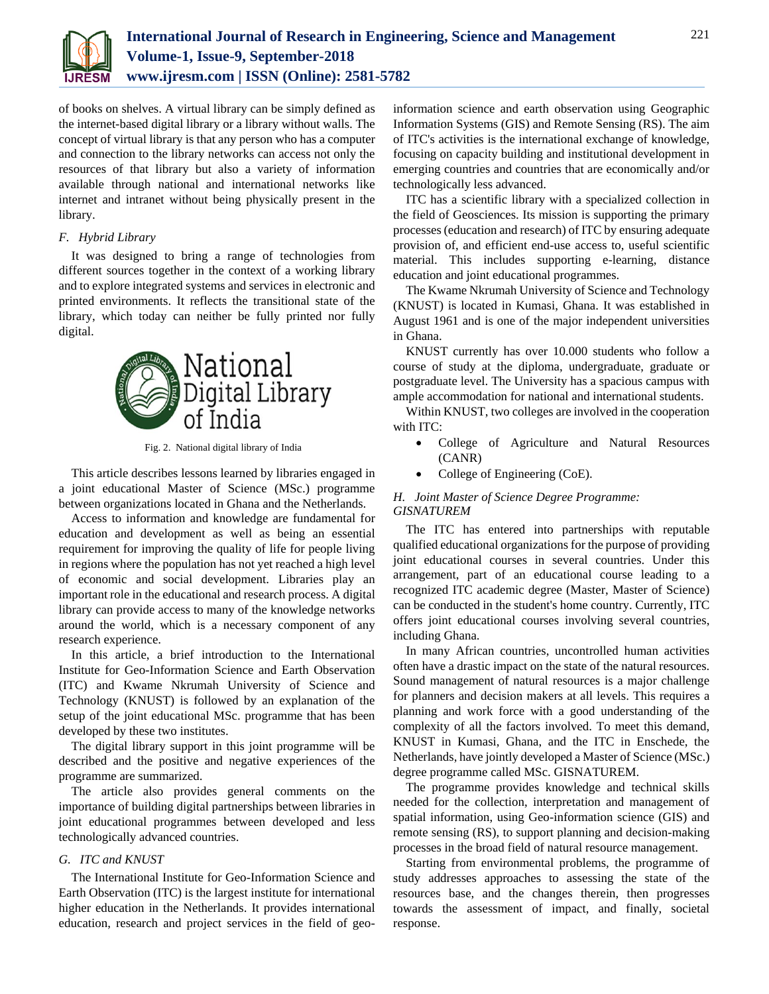

of books on shelves. A virtual library can be simply defined as the internet-based digital library or a library without walls. The concept of virtual library is that any person who has a computer and connection to the library networks can access not only the resources of that library but also a variety of information available through national and international networks like internet and intranet without being physically present in the library.

## *F. Hybrid Library*

It was designed to bring a range of technologies from different sources together in the context of a working library and to explore integrated systems and services in electronic and printed environments. It reflects the transitional state of the library, which today can neither be fully printed nor fully digital.



Fig. 2. National digital library of India

This article describes lessons learned by libraries engaged in a joint educational Master of Science (MSc.) programme between organizations located in Ghana and the Netherlands.

Access to information and knowledge are fundamental for education and development as well as being an essential requirement for improving the quality of life for people living in regions where the population has not yet reached a high level of economic and social development. Libraries play an important role in the educational and research process. A digital library can provide access to many of the knowledge networks around the world, which is a necessary component of any research experience.

In this article, a brief introduction to the International Institute for Geo-Information Science and Earth Observation (ITC) and Kwame Nkrumah University of Science and Technology (KNUST) is followed by an explanation of the setup of the joint educational MSc. programme that has been developed by these two institutes.

The digital library support in this joint programme will be described and the positive and negative experiences of the programme are summarized.

The article also provides general comments on the importance of building digital partnerships between libraries in joint educational programmes between developed and less technologically advanced countries.

### *G. ITC and KNUST*

The International Institute for Geo-Information Science and Earth Observation (ITC) is the largest institute for international higher education in the Netherlands. It provides international education, research and project services in the field of geoinformation science and earth observation using Geographic Information Systems (GIS) and Remote Sensing (RS). The aim of ITC's activities is the international exchange of knowledge, focusing on capacity building and institutional development in emerging countries and countries that are economically and/or technologically less advanced.

ITC has a scientific library with a specialized collection in the field of Geosciences. Its mission is supporting the primary processes (education and research) of ITC by ensuring adequate provision of, and efficient end-use access to, useful scientific material. This includes supporting e-learning, distance education and joint educational programmes.

The Kwame Nkrumah University of Science and Technology (KNUST) is located in Kumasi, Ghana. It was established in August 1961 and is one of the major independent universities in Ghana.

KNUST currently has over 10.000 students who follow a course of study at the diploma, undergraduate, graduate or postgraduate level. The University has a spacious campus with ample accommodation for national and international students.

Within KNUST, two colleges are involved in the cooperation with ITC:

- College of Agriculture and Natural Resources (CANR)
- College of Engineering (CoE).

# *H. Joint Master of Science Degree Programme: GISNATUREM*

The ITC has entered into partnerships with reputable qualified educational organizations for the purpose of providing joint educational courses in several countries. Under this arrangement, part of an educational course leading to a recognized ITC academic degree (Master, Master of Science) can be conducted in the student's home country. Currently, ITC offers joint educational courses involving several countries, including Ghana.

In many African countries, uncontrolled human activities often have a drastic impact on the state of the natural resources. Sound management of natural resources is a major challenge for planners and decision makers at all levels. This requires a planning and work force with a good understanding of the complexity of all the factors involved. To meet this demand, KNUST in Kumasi, Ghana, and the ITC in Enschede, the Netherlands, have jointly developed a Master of Science (MSc.) degree programme called MSc. GISNATUREM.

The programme provides knowledge and technical skills needed for the collection, interpretation and management of spatial information, using Geo-information science (GIS) and remote sensing (RS), to support planning and decision-making processes in the broad field of natural resource management.

Starting from environmental problems, the programme of study addresses approaches to assessing the state of the resources base, and the changes therein, then progresses towards the assessment of impact, and finally, societal response.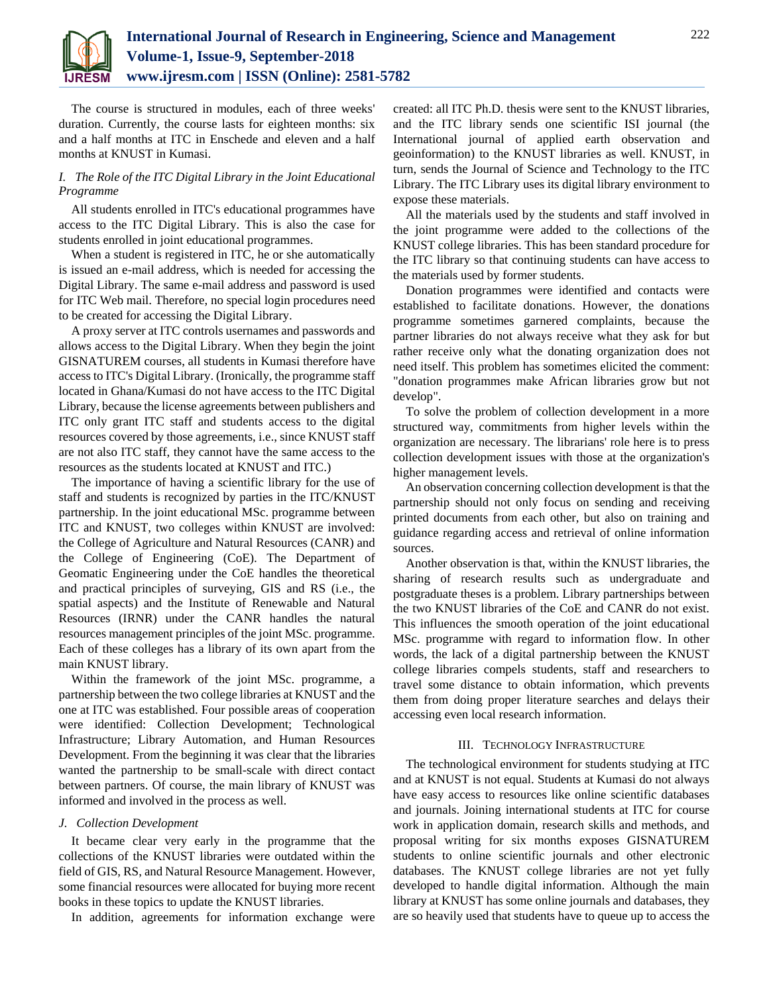

The course is structured in modules, each of three weeks' duration. Currently, the course lasts for eighteen months: six and a half months at ITC in Enschede and eleven and a half months at KNUST in Kumasi.

# *I.* The Role of the ITC Digital Library in the Joint Educational *Programme*

All students enrolled in ITC's educational programmes have access to the ITC Digital Library. This is also the case for students enrolled in joint educational programmes.

When a student is registered in ITC, he or she automatically is issued an e-mail address, which is needed for accessing the Digital Library. The same e-mail address and password is used for ITC Web mail. Therefore, no special login procedures need to be created for accessing the Digital Library.

A proxy server at ITC controls usernames and passwords and allows access to the Digital Library. When they begin the joint GISNATUREM courses, all students in Kumasi therefore have access to ITC's Digital Library. (Ironically, the programme staff located in Ghana/Kumasi do not have access to the ITC Digital Library, because the license agreements between publishers and ITC only grant ITC staff and students access to the digital resources covered by those agreements, i.e., since KNUST staff are not also ITC staff, they cannot have the same access to the resources as the students located at KNUST and ITC.)

The importance of having a scientific library for the use of staff and students is recognized by parties in the ITC/KNUST partnership. In the joint educational MSc. programme between ITC and KNUST, two colleges within KNUST are involved: the College of Agriculture and Natural Resources (CANR) and the College of Engineering (CoE). The Department of Geomatic Engineering under the CoE handles the theoretical and practical principles of surveying, GIS and RS (i.e., the spatial aspects) and the Institute of Renewable and Natural Resources (IRNR) under the CANR handles the natural resources management principles of the joint MSc. programme. Each of these colleges has a library of its own apart from the main KNUST library.

Within the framework of the joint MSc. programme, a partnership between the two college libraries at KNUST and the one at ITC was established. Four possible areas of cooperation were identified: Collection Development; Technological Infrastructure; Library Automation, and Human Resources Development. From the beginning it was clear that the libraries wanted the partnership to be small-scale with direct contact between partners. Of course, the main library of KNUST was informed and involved in the process as well.

# *J. Collection Development*

It became clear very early in the programme that the collections of the KNUST libraries were outdated within the field of GIS, RS, and Natural Resource Management. However, some financial resources were allocated for buying more recent books in these topics to update the KNUST libraries.

In addition, agreements for information exchange were

created: all ITC Ph.D. thesis were sent to the KNUST libraries, and the ITC library sends one scientific ISI journal (the International journal of applied earth observation and geoinformation) to the KNUST libraries as well. KNUST, in turn, sends the Journal of Science and Technology to the ITC Library. The ITC Library uses its digital library environment to expose these materials.

All the materials used by the students and staff involved in the joint programme were added to the collections of the KNUST college libraries. This has been standard procedure for the ITC library so that continuing students can have access to the materials used by former students.

Donation programmes were identified and contacts were established to facilitate donations. However, the donations programme sometimes garnered complaints, because the partner libraries do not always receive what they ask for but rather receive only what the donating organization does not need itself. This problem has sometimes elicited the comment: "donation programmes make African libraries grow but not develop".

To solve the problem of collection development in a more structured way, commitments from higher levels within the organization are necessary. The librarians' role here is to press collection development issues with those at the organization's higher management levels.

An observation concerning collection development is that the partnership should not only focus on sending and receiving printed documents from each other, but also on training and guidance regarding access and retrieval of online information sources.

Another observation is that, within the KNUST libraries, the sharing of research results such as undergraduate and postgraduate theses is a problem. Library partnerships between the two KNUST libraries of the CoE and CANR do not exist. This influences the smooth operation of the joint educational MSc. programme with regard to information flow. In other words, the lack of a digital partnership between the KNUST college libraries compels students, staff and researchers to travel some distance to obtain information, which prevents them from doing proper literature searches and delays their accessing even local research information.

### III. TECHNOLOGY INFRASTRUCTURE

The technological environment for students studying at ITC and at KNUST is not equal. Students at Kumasi do not always have easy access to resources like online scientific databases and journals. Joining international students at ITC for course work in application domain, research skills and methods, and proposal writing for six months exposes GISNATUREM students to online scientific journals and other electronic databases. The KNUST college libraries are not yet fully developed to handle digital information. Although the main library at KNUST has some online journals and databases, they are so heavily used that students have to queue up to access the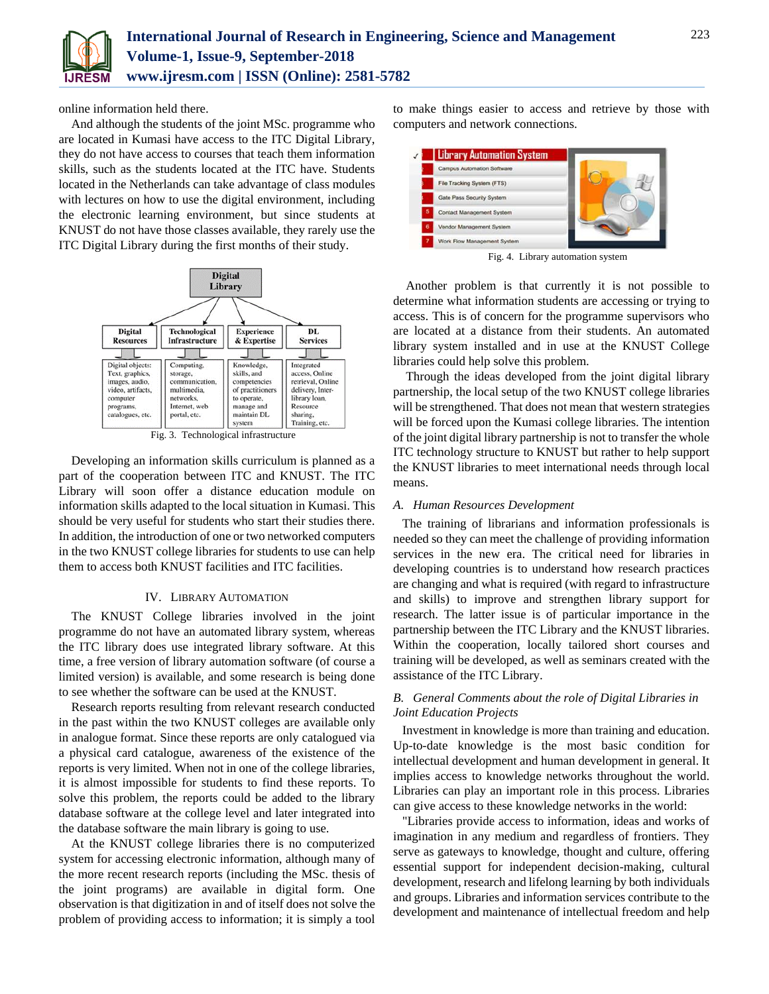

online information held there.

And although the students of the joint MSc. programme who are located in Kumasi have access to the ITC Digital Library, they do not have access to courses that teach them information skills, such as the students located at the ITC have. Students located in the Netherlands can take advantage of class modules with lectures on how to use the digital environment, including the electronic learning environment, but since students at KNUST do not have those classes available, they rarely use the ITC Digital Library during the first months of their study.



Fig. 3. Technological infrastructure

Developing an information skills curriculum is planned as a part of the cooperation between ITC and KNUST. The ITC Library will soon offer a distance education module on information skills adapted to the local situation in Kumasi. This should be very useful for students who start their studies there. In addition, the introduction of one or two networked computers in the two KNUST college libraries for students to use can help them to access both KNUST facilities and ITC facilities.

## IV. LIBRARY AUTOMATION

The KNUST College libraries involved in the joint programme do not have an automated library system, whereas the ITC library does use integrated library software. At this time, a free version of library automation software (of course a limited version) is available, and some research is being done to see whether the software can be used at the KNUST.

Research reports resulting from relevant research conducted in the past within the two KNUST colleges are available only in analogue format. Since these reports are only catalogued via a physical card catalogue, awareness of the existence of the reports is very limited. When not in one of the college libraries, it is almost impossible for students to find these reports. To solve this problem, the reports could be added to the library database software at the college level and later integrated into the database software the main library is going to use.

At the KNUST college libraries there is no computerized system for accessing electronic information, although many of the more recent research reports (including the MSc. thesis of the joint programs) are available in digital form. One observation is that digitization in and of itself does not solve the problem of providing access to information; it is simply a tool

to make things easier to access and retrieve by those with computers and network connections.

|   | <b>Library Automation System</b>  |  |
|---|-----------------------------------|--|
|   | <b>Campus Automation Software</b> |  |
|   | File Tracking System (FTS)        |  |
|   | Gate Pass Security System         |  |
| 5 | <b>Contact Management System</b>  |  |
| 6 | Vendor Management System          |  |
| 7 | Work Flow Management System       |  |

Fig. 4. Library automation system

Another problem is that currently it is not possible to determine what information students are accessing or trying to access. This is of concern for the programme supervisors who are located at a distance from their students. An automated library system installed and in use at the KNUST College libraries could help solve this problem.

Through the ideas developed from the joint digital library partnership, the local setup of the two KNUST college libraries will be strengthened. That does not mean that western strategies will be forced upon the Kumasi college libraries. The intention of the joint digital library partnership is not to transfer the whole ITC technology structure to KNUST but rather to help support the KNUST libraries to meet international needs through local means.

# *A. Human Resources Development*

The training of librarians and information professionals is needed so they can meet the challenge of providing information services in the new era. The critical need for libraries in developing countries is to understand how research practices are changing and what is required (with regard to infrastructure and skills) to improve and strengthen library support for research. The latter issue is of particular importance in the partnership between the ITC Library and the KNUST libraries. Within the cooperation, locally tailored short courses and training will be developed, as well as seminars created with the assistance of the ITC Library.

# *B. General Comments about the role of Digital Libraries in Joint Education Projects*

Investment in knowledge is more than training and education. Up-to-date knowledge is the most basic condition for intellectual development and human development in general. It implies access to knowledge networks throughout the world. Libraries can play an important role in this process. Libraries can give access to these knowledge networks in the world:

"Libraries provide access to information, ideas and works of imagination in any medium and regardless of frontiers. They serve as gateways to knowledge, thought and culture, offering essential support for independent decision-making, cultural development, research and lifelong learning by both individuals and groups. Libraries and information services contribute to the development and maintenance of intellectual freedom and help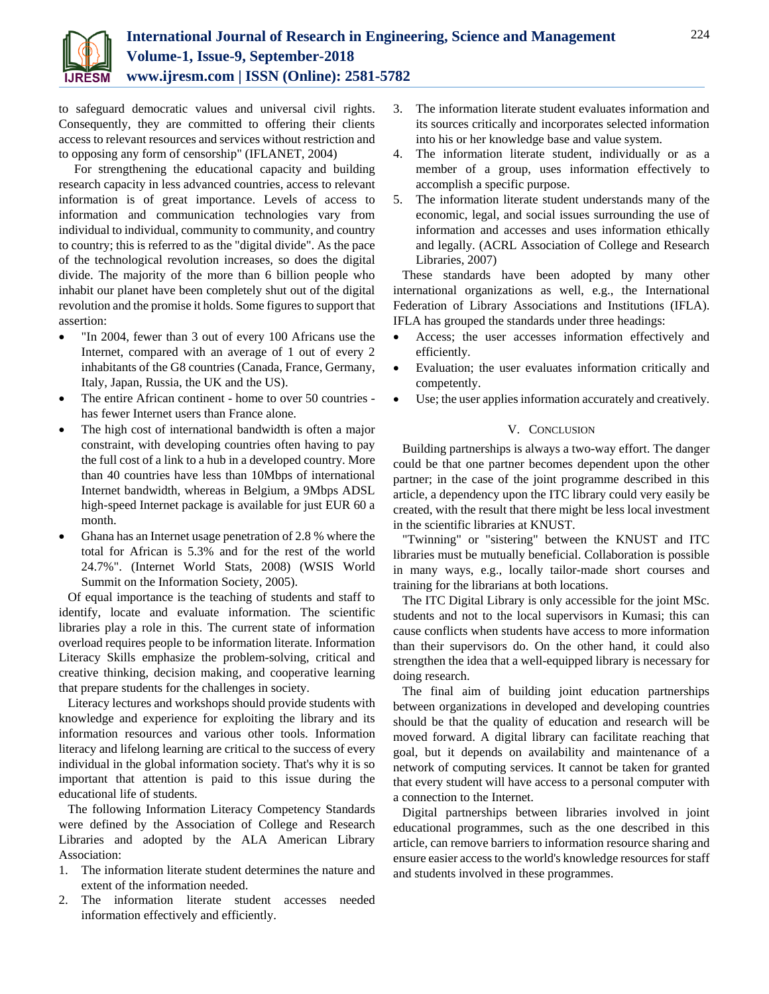

to safeguard democratic values and universal civil rights. Consequently, they are committed to offering their clients access to relevant resources and services without restriction and to opposing any form of censorship" (IFLANET, 2004)

 For strengthening the educational capacity and building research capacity in less advanced countries, access to relevant information is of great importance. Levels of access to information and communication technologies vary from individual to individual, community to community, and country to country; this is referred to as the "digital divide". As the pace of the technological revolution increases, so does the digital divide. The majority of the more than 6 billion people who inhabit our planet have been completely shut out of the digital revolution and the promise it holds. Some figures to support that assertion:

- "In 2004, fewer than 3 out of every 100 Africans use the Internet, compared with an average of 1 out of every 2 inhabitants of the G8 countries (Canada, France, Germany, Italy, Japan, Russia, the UK and the US).
- The entire African continent home to over 50 countries has fewer Internet users than France alone.
- The high cost of international bandwidth is often a major constraint, with developing countries often having to pay the full cost of a link to a hub in a developed country. More than 40 countries have less than 10Mbps of international Internet bandwidth, whereas in Belgium, a 9Mbps ADSL high-speed Internet package is available for just EUR 60 a month.
- Ghana has an Internet usage penetration of 2.8 % where the total for African is 5.3% and for the rest of the world 24.7%". (Internet World Stats, 2008) (WSIS World Summit on the Information Society, 2005).

Of equal importance is the teaching of students and staff to identify, locate and evaluate information. The scientific libraries play a role in this. The current state of information overload requires people to be information literate. Information Literacy Skills emphasize the problem-solving, critical and creative thinking, decision making, and cooperative learning that prepare students for the challenges in society.

Literacy lectures and workshops should provide students with knowledge and experience for exploiting the library and its information resources and various other tools. Information literacy and lifelong learning are critical to the success of every individual in the global information society. That's why it is so important that attention is paid to this issue during the educational life of students.

The following Information Literacy Competency Standards were defined by the Association of College and Research Libraries and adopted by the ALA American Library Association:

- 1. The information literate student determines the nature and extent of the information needed.
- 2. The information literate student accesses needed information effectively and efficiently.
- 3. The information literate student evaluates information and its sources critically and incorporates selected information into his or her knowledge base and value system.
- 4. The information literate student, individually or as a member of a group, uses information effectively to accomplish a specific purpose.
- 5. The information literate student understands many of the economic, legal, and social issues surrounding the use of information and accesses and uses information ethically and legally. (ACRL Association of College and Research Libraries, 2007)

These standards have been adopted by many other international organizations as well, e.g., the International Federation of Library Associations and Institutions (IFLA). IFLA has grouped the standards under three headings:

- Access; the user accesses information effectively and efficiently.
- Evaluation; the user evaluates information critically and competently.
- Use; the user applies information accurately and creatively.

# V. CONCLUSION

Building partnerships is always a two-way effort. The danger could be that one partner becomes dependent upon the other partner; in the case of the joint programme described in this article, a dependency upon the ITC library could very easily be created, with the result that there might be less local investment in the scientific libraries at KNUST.

"Twinning" or "sistering" between the KNUST and ITC libraries must be mutually beneficial. Collaboration is possible in many ways, e.g., locally tailor-made short courses and training for the librarians at both locations.

The ITC Digital Library is only accessible for the joint MSc. students and not to the local supervisors in Kumasi; this can cause conflicts when students have access to more information than their supervisors do. On the other hand, it could also strengthen the idea that a well-equipped library is necessary for doing research.

The final aim of building joint education partnerships between organizations in developed and developing countries should be that the quality of education and research will be moved forward. A digital library can facilitate reaching that goal, but it depends on availability and maintenance of a network of computing services. It cannot be taken for granted that every student will have access to a personal computer with a connection to the Internet.

Digital partnerships between libraries involved in joint educational programmes, such as the one described in this article, can remove barriers to information resource sharing and ensure easier access to the world's knowledge resources for staff and students involved in these programmes.